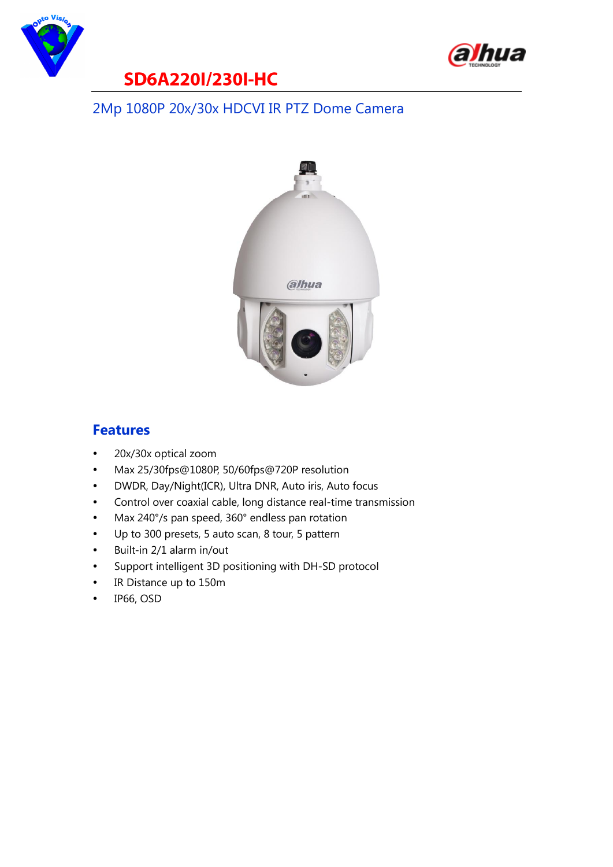



#### **SD6A220I/230I-HC**

#### 2Mp 1080P 20x/30x HDCVI IR PTZ Dome Camera



#### **Features**

- 20x/30x optical zoom
- Max 25/30fps@1080P, 50/60fps@720P resolution
- DWDR, Day/Night(ICR), Ultra DNR, Auto iris, Auto focus
- Control over coaxial cable, long distance real-time transmission
- Max 240°/s pan speed, 360° endless pan rotation
- Up to 300 presets, 5 auto scan, 8 tour, 5 pattern
- Built-in 2/1 alarm in/out
- Support intelligent 3D positioning with DH-SD protocol
- IR Distance up to 150m
- IP66, OSD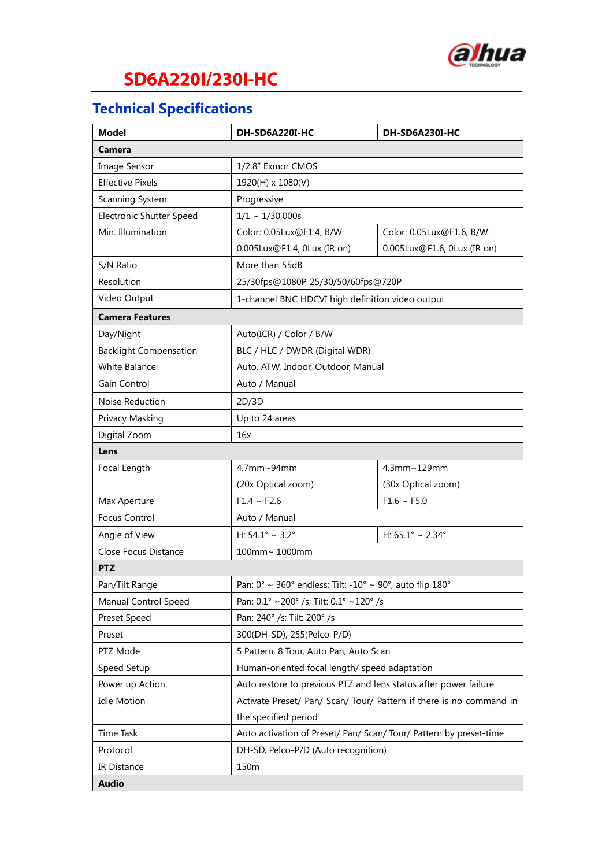

## **SD6A220I/230I-HC**

## **Technical Specifications**

| <b>Model</b>                  | DH-SD6A220I-HC                                                                              | DH-SD6A230I-HC                      |
|-------------------------------|---------------------------------------------------------------------------------------------|-------------------------------------|
| Camera                        |                                                                                             |                                     |
| Image Sensor                  | 1/2.8" Exmor CMOS                                                                           |                                     |
| <b>Effective Pixels</b>       | 1920(H) x 1080(V)                                                                           |                                     |
| Scanning System               | Progressive                                                                                 |                                     |
| Electronic Shutter Speed      | $1/1 \sim 1/30,000s$                                                                        |                                     |
| Min. Illumination             | Color: 0.05Lux@F1.4; B/W:                                                                   | Color: 0.05Lux@F1.6; B/W:           |
|                               | 0.005Lux@F1.4; 0Lux (IR on)                                                                 | 0.005Lux@F1.6; 0Lux (IR on)         |
| S/N Ratio                     | More than 55dB                                                                              |                                     |
| Resolution                    | 25/30fps@1080P, 25/30/50/60fps@720P                                                         |                                     |
| Video Output                  | 1-channel BNC HDCVI high definition video output                                            |                                     |
| <b>Camera Features</b>        |                                                                                             |                                     |
| Day/Night                     | Auto(ICR) / Color / B/W                                                                     |                                     |
| <b>Backlight Compensation</b> | BLC / HLC / DWDR (Digital WDR)                                                              |                                     |
| <b>White Balance</b>          | Auto, ATW, Indoor, Outdoor, Manual                                                          |                                     |
| Gain Control                  | Auto / Manual                                                                               |                                     |
| Noise Reduction               | 2D/3D                                                                                       |                                     |
| Privacy Masking               | Up to 24 areas                                                                              |                                     |
| Digital Zoom                  | 16x                                                                                         |                                     |
| Lens                          |                                                                                             |                                     |
| Focal Length                  | 4.7mm~94mm                                                                                  | 4.3mm~129mm                         |
|                               | (20x Optical zoom)                                                                          | (30x Optical zoom)                  |
| Max Aperture                  | $F1.4 \sim F2.6$                                                                            | $F1.6 \sim F5.0$                    |
| Focus Control                 | Auto / Manual                                                                               |                                     |
| Angle of View                 | H: $54.1^{\circ} \sim 3.2^{\circ}$                                                          | H: $65.1^{\circ} \sim 2.34^{\circ}$ |
| Close Focus Distance          | 100mm~ 1000mm                                                                               |                                     |
| <b>PTZ</b>                    |                                                                                             |                                     |
| Pan/Tilt Range                | Pan: 0° ~ 360° endless; Tilt: -10° ~ 90°, auto flip 180°                                    |                                     |
| Manual Control Speed          | Pan: 0.1° ~200° /s; Tilt: 0.1° ~120° /s                                                     |                                     |
| Preset Speed                  | Pan: 240° /s; Tilt: 200° /s                                                                 |                                     |
| Preset                        | 300(DH-SD), 255(Pelco-P/D)                                                                  |                                     |
| PTZ Mode                      | 5 Pattern, 8 Tour, Auto Pan, Auto Scan                                                      |                                     |
| Speed Setup                   | Human-oriented focal length/ speed adaptation                                               |                                     |
| Power up Action               | Auto restore to previous PTZ and lens status after power failure                            |                                     |
| <b>Idle Motion</b>            | Activate Preset/ Pan/ Scan/ Tour/ Pattern if there is no command in<br>the specified period |                                     |
|                               |                                                                                             |                                     |
| Time Task                     | Auto activation of Preset/ Pan/ Scan/ Tour/ Pattern by preset-time                          |                                     |
| Protocol                      | DH-SD, Pelco-P/D (Auto recognition)                                                         |                                     |
| IR Distance                   | 150m                                                                                        |                                     |
| <b>Audio</b>                  |                                                                                             |                                     |